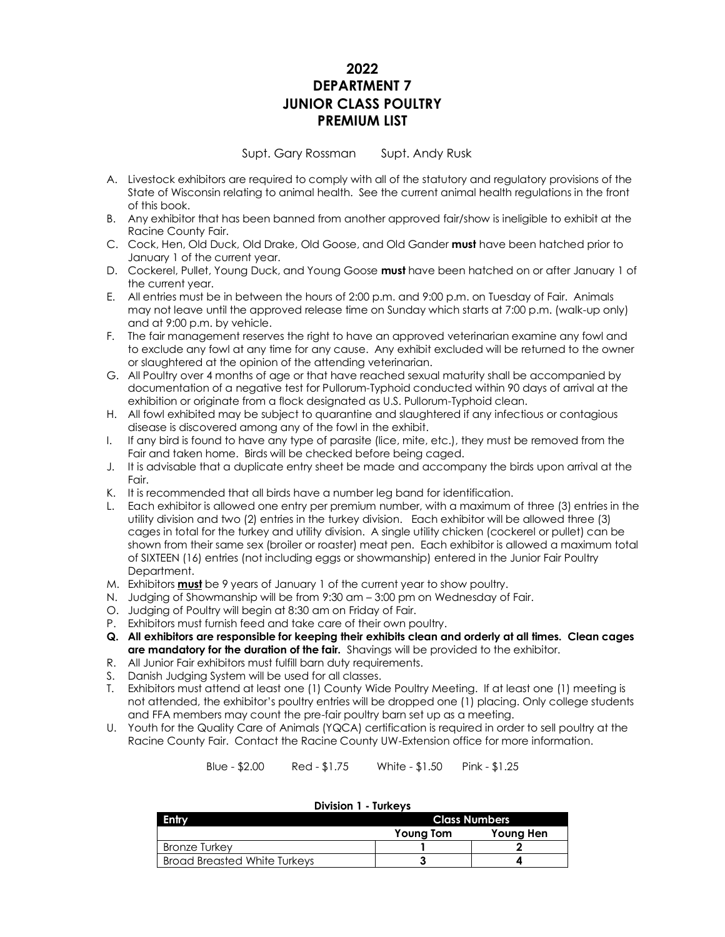# **2022 DEPARTMENT 7 JUNIOR CLASS POULTRY PREMIUM LIST**

Supt. Gary Rossman Supt. Andy Rusk

- A. Livestock exhibitors are required to comply with all of the statutory and regulatory provisions of the State of Wisconsin relating to animal health. See the current animal health regulations in the front of this book.
- B. Any exhibitor that has been banned from another approved fair/show is ineligible to exhibit at the Racine County Fair.
- C. Cock, Hen, Old Duck, Old Drake, Old Goose, and Old Gander **must** have been hatched prior to January 1 of the current year.
- D. Cockerel, Pullet, Young Duck, and Young Goose **must** have been hatched on or after January 1 of the current year.
- E. All entries must be in between the hours of 2:00 p.m. and 9:00 p.m. on Tuesday of Fair. Animals may not leave until the approved release time on Sunday which starts at 7:00 p.m. (walk-up only) and at 9:00 p.m. by vehicle.
- F. The fair management reserves the right to have an approved veterinarian examine any fowl and to exclude any fowl at any time for any cause. Any exhibit excluded will be returned to the owner or slaughtered at the opinion of the attending veterinarian.
- G. All Poultry over 4 months of age or that have reached sexual maturity shall be accompanied by documentation of a negative test for Pullorum-Typhoid conducted within 90 days of arrival at the exhibition or originate from a flock designated as U.S. Pullorum-Typhoid clean.
- H. All fowl exhibited may be subject to quarantine and slaughtered if any infectious or contagious disease is discovered among any of the fowl in the exhibit.
- I. If any bird is found to have any type of parasite (lice, mite, etc.), they must be removed from the Fair and taken home. Birds will be checked before being caged.
- J. It is advisable that a duplicate entry sheet be made and accompany the birds upon arrival at the Fair.
- K. It is recommended that all birds have a number leg band for identification.
- L. Each exhibitor is allowed one entry per premium number, with a maximum of three (3) entries in the utility division and two (2) entries in the turkey division. Each exhibitor will be allowed three (3) cages in total for the turkey and utility division. A single utility chicken (cockerel or pullet) can be shown from their same sex (broiler or roaster) meat pen. Each exhibitor is allowed a maximum total of SIXTEEN (16) entries (not including eggs or showmanship) entered in the Junior Fair Poultry Department.
- M. Exhibitors **must** be 9 years of January 1 of the current year to show poultry.
- N. Judging of Showmanship will be from 9:30 am 3:00 pm on Wednesday of Fair.
- O. Judging of Poultry will begin at 8:30 am on Friday of Fair.
- P. Exhibitors must furnish feed and take care of their own poultry.
- **Q. All exhibitors are responsible for keeping their exhibits clean and orderly at all times. Clean cages are mandatory for the duration of the fair.** Shavings will be provided to the exhibitor.
- R. All Junior Fair exhibitors must fulfill barn duty requirements.
- S. Danish Judging System will be used for all classes.
- T. Exhibitors must attend at least one (1) County Wide Poultry Meeting. If at least one (1) meeting is not attended, the exhibitor's poultry entries will be dropped one (1) placing. Only college students and FFA members may count the pre-fair poultry barn set up as a meeting.
- U. Youth for the Quality Care of Animals (YQCA) certification is required in order to sell poultry at the Racine County Fair. Contact the Racine County UW-Extension office for more information.

Blue - \$2.00 Red - \$1.75 White - \$1.50 Pink - \$1.25

|                              | PIVISIOII I IUIRCIV |                      |  |  |  |
|------------------------------|---------------------|----------------------|--|--|--|
| Entry                        |                     | <b>Class Numbers</b> |  |  |  |
|                              | Young Tom           | Young Hen            |  |  |  |
| <b>Bronze Turkey</b>         |                     |                      |  |  |  |
| Broad Breasted White Turkeys |                     |                      |  |  |  |

#### **Division 1 - Turkeys**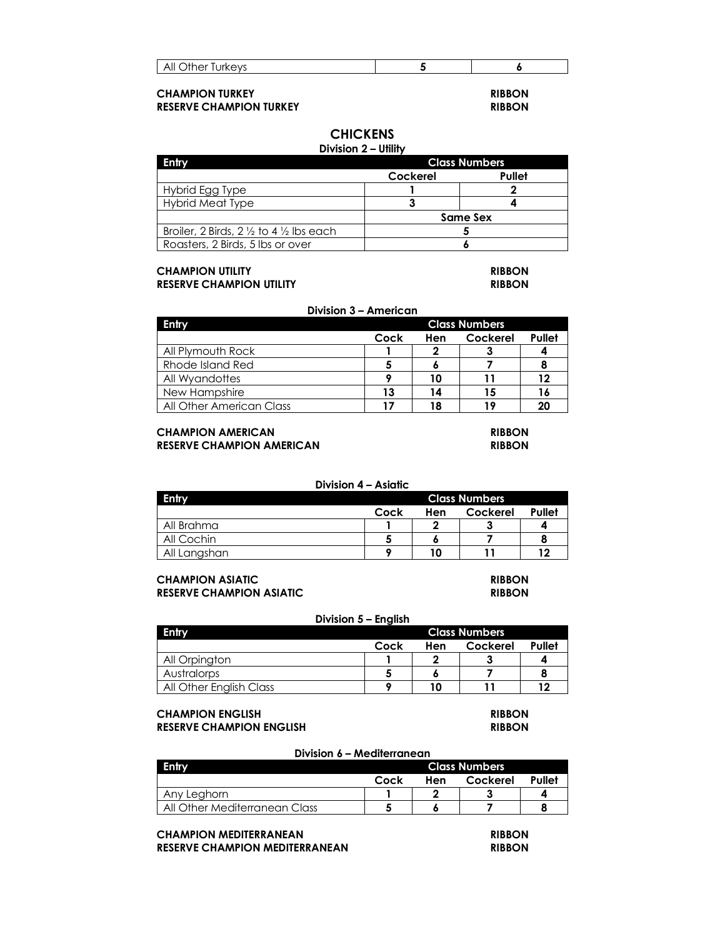| All<br>urkeys<br>)ther<br>ושו<br>◡ |  |
|------------------------------------|--|
|                                    |  |

## **CHAMPION TURKEY RIBBON RESERVE CHAMPION TURKEY RIBBON**

# **CHICKENS**

### **Division 2 – Utility**

| Entry                                                        | <b>Class Numbers</b> |        |  |  |  |
|--------------------------------------------------------------|----------------------|--------|--|--|--|
|                                                              | Cockerel             | Pullet |  |  |  |
| Hybrid Egg Type                                              |                      |        |  |  |  |
| Hybrid Meat Type                                             |                      |        |  |  |  |
|                                                              | Same Sex             |        |  |  |  |
| Broiler, 2 Birds, $2\frac{1}{2}$ to 4 $\frac{1}{2}$ lbs each |                      |        |  |  |  |
| Roasters, 2 Birds, 5 lbs or over                             |                      |        |  |  |  |

#### **CHAMPION UTILITY RIBBON RESERVE CHAMPION UTILITY RIBBON**

#### **Division 3 – American**

| Entry                    |      | <b>Class Numbers</b> |          |        |  |
|--------------------------|------|----------------------|----------|--------|--|
|                          | Cock | Hen                  | Cockerel | Pullet |  |
| All Plymouth Rock        |      |                      |          |        |  |
| Rhode Island Red         |      |                      |          |        |  |
| All Wyandottes           |      | 10                   | 11       | 12     |  |
| New Hampshire            | 13   | 14                   | 15       | 16     |  |
| All Other American Class |      | 18                   | 19       | 20     |  |

### **CHAMPION AMERICAN RIBBON RESERVE CHAMPION AMERICAN RIBBON**

### **Division 4 – Asiatic Entry Class Numbers Cock Hen Cockerel Pullet** All Brahma **1 2 3 4** All Cochin **5 6 7 8** All Langshan **9 10 11 12**

# **CHAMPION ASIATIC RIBBON**

**RESERVE CHAMPION ASIATIC RIBBON**

#### **Division 5 – English**

| <b>Entry</b>            | <b>Class Numbers</b>              |    |  |  |
|-------------------------|-----------------------------------|----|--|--|
|                         | Pullet<br>Cock<br>Cockerel<br>Hen |    |  |  |
| All Orpington           |                                   |    |  |  |
| Australorps             |                                   |    |  |  |
| All Other English Class |                                   | 10 |  |  |

#### **CHAMPION ENGLISH RIBBON RESERVE CHAMPION ENGLISH RIBBON**

**Division 6 – Mediterranean Entry Class Numbers Cock Hen Cockerel Pullet** Any Leghorn **1 2 3 4** All Other Mediterranean Class **5 6 7 8**

### **CHAMPION MEDITERRANEAN RIBBON RESERVE CHAMPION MEDITERRANEAN RIBBON**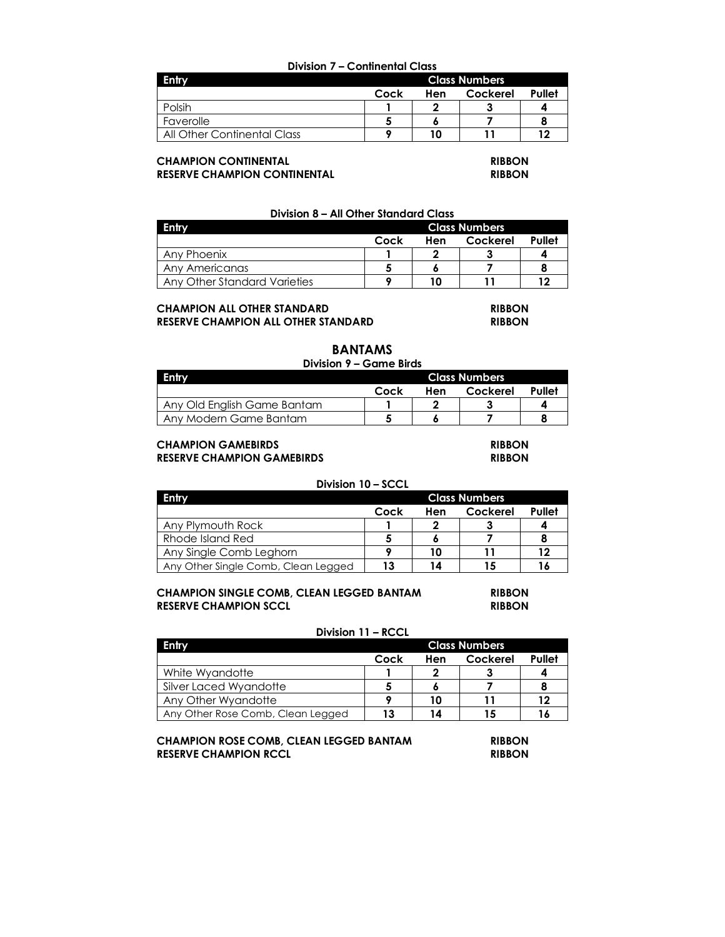#### **Division 7 – Continental Class**

| Entry                       |                                   | <b>Class Numbers</b> |  |    |  |
|-----------------------------|-----------------------------------|----------------------|--|----|--|
|                             | Pullet<br>Cockerel<br>Cock<br>Hen |                      |  |    |  |
| Polsih                      |                                   | G                    |  |    |  |
| Faverolle                   |                                   |                      |  |    |  |
| All Other Continental Class |                                   |                      |  | 12 |  |

#### **CHAMPION CONTINENTAL RIBBON RESERVE CHAMPION CONTINENTAL RIBBON**

#### **Division 8 – All Other Standard Class**

| Entry                        |                                   | <b>Class Numbers</b> |  |  |  |
|------------------------------|-----------------------------------|----------------------|--|--|--|
|                              | Pullet<br>Cock<br>Cockerel<br>Hen |                      |  |  |  |
| Any Phoenix                  |                                   |                      |  |  |  |
| Any Americanas               |                                   |                      |  |  |  |
| Any Other Standard Varieties |                                   | 10                   |  |  |  |

# **CHAMPION ALL OTHER STANDARD RIBBON**

**RESERVE CHAMPION ALL OTHER STANDARD RIBBON**

# **BANTAMS**

### **Division 9 – Game Birds**

| Entry                       | <b>Class Numbers</b>              |  |  |  |
|-----------------------------|-----------------------------------|--|--|--|
|                             | Pullet<br>Cockerel<br>Cock<br>Hen |  |  |  |
| Any Old English Game Bantam |                                   |  |  |  |
| Any Modern Game Bantam      |                                   |  |  |  |

#### **CHAMPION GAMEBIRDS RIBBON RESERVE CHAMPION GAMEBIRDS RIBBON**

#### **Division 10 – SCCL**

| Entry                               | <b>Class Numbers</b>              |    |    |    |  |
|-------------------------------------|-----------------------------------|----|----|----|--|
|                                     | Pullet<br>Cock<br>Cockerel<br>Hen |    |    |    |  |
| Any Plymouth Rock                   |                                   |    |    |    |  |
| Rhode Island Red                    |                                   |    |    |    |  |
| Any Single Comb Leghorn             |                                   | 10 |    | 12 |  |
| Any Other Single Comb, Clean Legged | 13                                | 14 | 15 | 16 |  |

#### **CHAMPION SINGLE COMB, CLEAN LEGGED BANTAM RIBBON RESERVE CHAMPION SCCL RIBBON**

#### **Division 11 – RCCL**

| Entry                             | <b>Class Numbers</b>              |    |    |    |  |
|-----------------------------------|-----------------------------------|----|----|----|--|
|                                   | Pullet<br>Cockerel<br>Cock<br>Hen |    |    |    |  |
| White Wyandotte                   |                                   |    |    |    |  |
| Silver Laced Wyandotte            |                                   |    |    |    |  |
| Any Other Wyandotte               |                                   | 10 |    | 12 |  |
| Any Other Rose Comb, Clean Legged | 13                                | 14 | 15 |    |  |

#### **CHAMPION ROSE COMB, CLEAN LEGGED BANTAM RIBBON RESERVE CHAMPION RCCL RIBBON**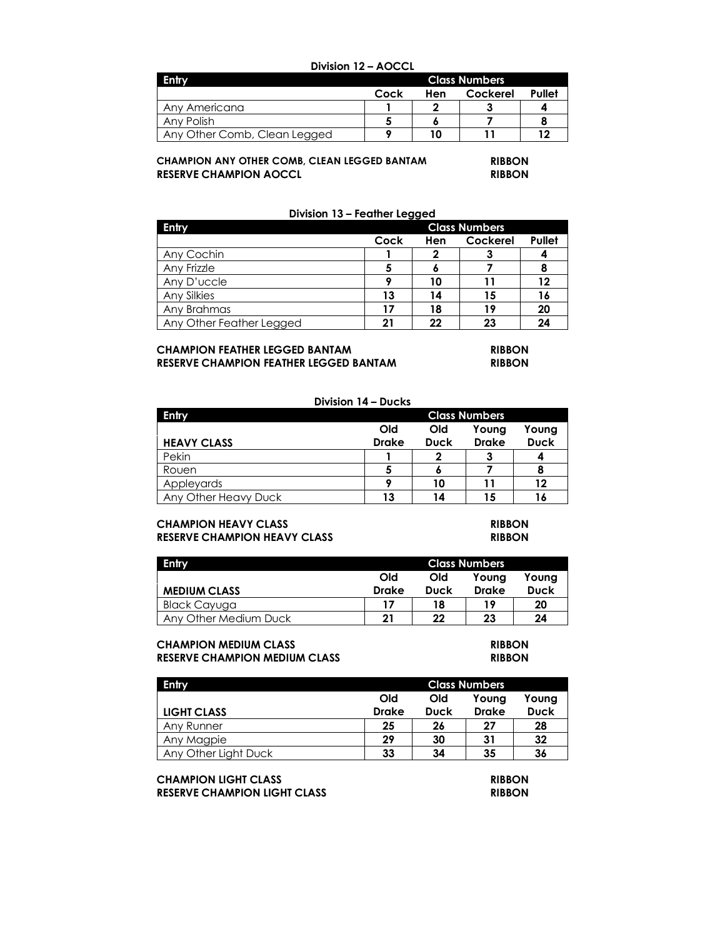| Division 12 - AOCCL                  |                                   |    |  |    |  |
|--------------------------------------|-----------------------------------|----|--|----|--|
| <b>Entry</b><br><b>Class Numbers</b> |                                   |    |  |    |  |
|                                      | Pullet<br>Cockerel<br>Cock<br>Hen |    |  |    |  |
| Any Americana                        | າ                                 |    |  |    |  |
| Any Polish                           |                                   |    |  |    |  |
| Any Other Comb, Clean Legged         |                                   | 10 |  | 12 |  |

## **CHAMPION ANY OTHER COMB, CLEAN LEGGED BANTAM RIBBON RESERVE CHAMPION AOCCL RIBBON**

### **Division 13 – Feather Legged**

| Entry                    | <b>Class Numbers</b> |     |          |               |
|--------------------------|----------------------|-----|----------|---------------|
|                          | Cock                 | Hen | Cockerel | <b>Pullet</b> |
| Any Cochin               |                      |     | o        |               |
| Any Frizzle              |                      |     |          |               |
| Any D'uccle              |                      | 10  |          | 12            |
| Any Silkies              | 13                   | 14  | 15       | 16            |
| Any Brahmas              | 17                   | 18  | 19       | 20            |
| Any Other Feather Legged | 21                   | 22  | 23       | 24            |

#### **CHAMPION FEATHER LEGGED BANTAM RIBBON RESERVE CHAMPION FEATHER LEGGED BANTAM RIBBON**

| Division 14 - Ducks  |                      |             |              |             |
|----------------------|----------------------|-------------|--------------|-------------|
| <b>Entry</b>         | <b>Class Numbers</b> |             |              |             |
|                      | Old                  | Old         | Young        | Young       |
| <b>HEAVY CLASS</b>   | <b>Drake</b>         | <b>Duck</b> | <b>Drake</b> | <b>Duck</b> |
| Pekin                |                      |             |              |             |
| Rouen                |                      | о           |              |             |
| Appleyards           |                      | 10          |              | 12          |
| Any Other Heavy Duck | 13                   | 14          | 15           |             |

## **CHAMPION HEAVY CLASS RIBBON RESERVE CHAMPION HEAVY CLASS RIBBON**

| <b>Entry</b>          | <b>Class Numbers</b> |             |              |             |
|-----------------------|----------------------|-------------|--------------|-------------|
|                       | Old<br>Old<br>Young  |             |              | Young       |
| <b>MEDIUM CLASS</b>   | <b>Drake</b>         | <b>Duck</b> | <b>Drake</b> | <b>Duck</b> |
| Black Cayuga          | 17                   | 18          | 19           | 20          |
| Any Other Medium Duck | 21                   | 22          | 23           | 24          |

### **CHAMPION MEDIUM CLASS RIBBON RESERVE CHAMPION MEDIUM CLASS**

| Entry                | <b>Class Numbers</b>         |             |              |             |
|----------------------|------------------------------|-------------|--------------|-------------|
|                      | Old<br>Old<br>Young<br>Young |             |              |             |
| LIGHT CLASS          | <b>Drake</b>                 | <b>Duck</b> | <b>Drake</b> | <b>Duck</b> |
| Any Runner           | 25                           | 26          | 27           | 28          |
| Any Magpie           | 29                           | 30          | 31           | 32          |
| Any Other Light Duck | 33                           | 34          | 35           | 36          |

# **CHAMPION LIGHT CLASS RIBBON**

**RESERVE CHAMPION LIGHT CLASS RIBBON**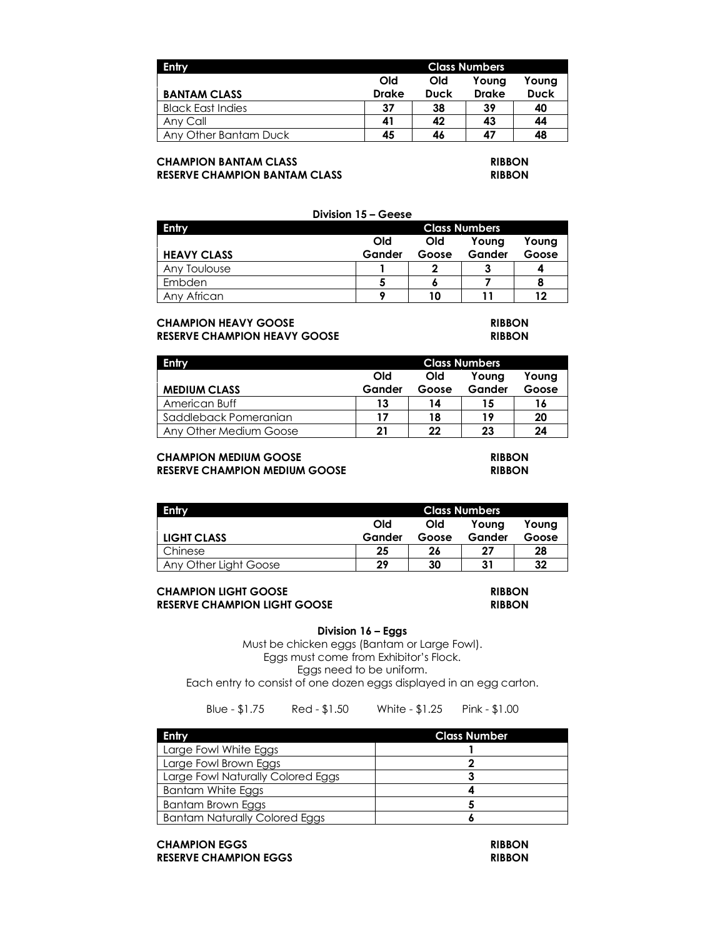| Entry                    |              | <b>Class Numbers</b> |              |             |
|--------------------------|--------------|----------------------|--------------|-------------|
|                          | Old          | Old                  | Youna        | Young       |
| <b>BANTAM CLASS</b>      | <b>Drake</b> | <b>Duck</b>          | <b>Drake</b> | <b>Duck</b> |
| <b>Black East Indies</b> | 37           | 38                   | -39          | 40          |
| Any Call                 | 41           | 42                   | 43           | 44          |
| Any Other Bantam Duck    | 45           | 46                   | 47           | 48          |

## **CHAMPION BANTAM CLASS RIBBON RESERVE CHAMPION BANTAM CLASS RIBBON**

|                    | Division 15 – Geese |            |                      |       |
|--------------------|---------------------|------------|----------------------|-------|
| Entry              |                     |            | <b>Class Numbers</b> |       |
|                    | <b>Old</b>          | <b>Old</b> | Young                | Young |
| <b>HEAVY CLASS</b> | Gander              | Goose      | Gander               | Goose |
| Any Toulouse       |                     |            |                      |       |
| Embden             |                     |            |                      |       |
| Any African        |                     | າດ         |                      | פ ו   |

# **CHAMPION HEAVY GOOSE RIBBON RESERVE CHAMPION HEAVY GOOSE RIBBON**

| Entry                  | <b>Class Numbers</b>         |       |        |       |  |
|------------------------|------------------------------|-------|--------|-------|--|
|                        | Old<br>Old<br>Young<br>Youna |       |        |       |  |
| <b>MEDIUM CLASS</b>    | Gander                       | Goose | Gander | Goose |  |
| American Buff          | 13                           | 14    | 15     | 16    |  |
| Saddleback Pomeranian  | 17                           | 18    | 19     | 20    |  |
| Any Other Medium Goose | 21                           | 22    | 23     | 24    |  |

# **CHAMPION MEDIUM GOOSE RIBBON RESERVE CHAMPION MEDIUM GOOSE RIBBON**

| Entry                 | <b>Class Numbers</b>         |       |        |       |
|-----------------------|------------------------------|-------|--------|-------|
|                       | Old<br>Old<br>Youna<br>Young |       |        |       |
| LIGHT CLASS           | Gander                       | Goose | Gander | Goose |
| Chinese               | 25                           | 26    | 27     | 28    |
| Any Other Light Goose | 29                           | 30    | 31     | 32    |

## **CHAMPION LIGHT GOOSE RIBBON RESERVE CHAMPION LIGHT GOOSE RIBBON**

## **Division 16 – Eggs**

Must be chicken eggs (Bantam or Large Fowl). Eggs must come from Exhibitor's Flock. Eggs need to be uniform. Each entry to consist of one dozen eggs displayed in an egg carton.

Blue - \$1.75 Red - \$1.50 White - \$1.25 Pink - \$1.00

| Entry                                | <b>Class Number</b> |
|--------------------------------------|---------------------|
| Large Fowl White Eggs                |                     |
| Large Fowl Brown Eggs                |                     |
| Large Fowl Naturally Colored Eggs    |                     |
| Bantam White Eggs                    |                     |
| Bantam Brown Eggs                    |                     |
| <b>Bantam Naturally Colored Eggs</b> |                     |

**CHAMPION EGGS RIBBON RESERVE CHAMPION EGGS RIBBON**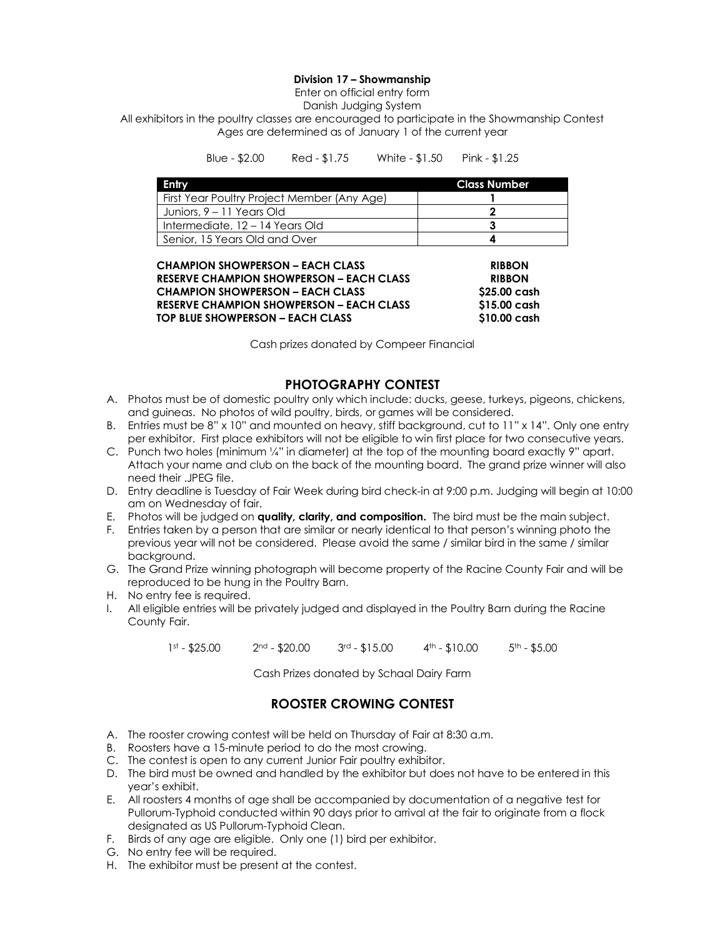### **Division 17 – Showmanship**

Enter on official entry form

Danish Judging System

All exhibitors in the poultry classes are encouraged to participate in the Showmanship Contest Ages are determined as of January 1 of the current year

| Blue - \$2.00 | Red - \$1.75 | White - \$1.50 | Pink - $$1.25$ |
|---------------|--------------|----------------|----------------|
|---------------|--------------|----------------|----------------|

| Entry                                       | <b>Class Number</b> |
|---------------------------------------------|---------------------|
| First Year Poultry Project Member (Any Age) |                     |
| Juniors, 9 – 11 Years Old                   |                     |
| Intermediate, 12 – 14 Years Old             |                     |
| Senior, 15 Years Old and Over               |                     |

| <b>CHAMPION SHOWPERSON – EACH CLASS</b>         | <b>RIBBON</b> |
|-------------------------------------------------|---------------|
| <b>RESERVE CHAMPION SHOWPERSON - EACH CLASS</b> | <b>RIBBON</b> |
| <b>CHAMPION SHOWPERSON - EACH CLASS</b>         | \$25.00 cash  |
| <b>RESERVE CHAMPION SHOWPERSON – EACH CLASS</b> | \$15.00 cash  |
| TOP BLUE SHOWPERSON - EACH CLASS                | \$10.00 cash  |

Cash prizes donated by Compeer Financial

# **PHOTOGRAPHY CONTEST**

- A. Photos must be of domestic poultry only which include: ducks, geese, turkeys, pigeons, chickens, and guineas. No photos of wild poultry, birds, or games will be considered.
- B. Entries must be 8" x 10" and mounted on heavy, stiff background, cut to 11" x 14". Only one entry per exhibitor. First place exhibitors will not be eligible to win first place for two consecutive years.
- C. Punch two holes (minimum ¼" in diameter) at the top of the mounting board exactly 9" apart. Attach your name and club on the back of the mounting board. The grand prize winner will also need their .JPEG file.
- D. Entry deadline is Tuesday of Fair Week during bird check-in at 9:00 p.m. Judging will begin at 10:00 am on Wednesday of fair.
- E. Photos will be judged on **quality, clarity, and composition.** The bird must be the main subject.
- F. Entries taken by a person that are similar or nearly identical to that person's winning photo the previous year will not be considered. Please avoid the same / similar bird in the same / similar background.
- G. The Grand Prize winning photograph will become property of the Racine County Fair and will be reproduced to be hung in the Poultry Barn.
- H. No entry fee is required.
- I. All eligible entries will be privately judged and displayed in the Poultry Barn during the Racine County Fair.

 $1$ st - \$25.00  $2$ nd - \$20.00  $3$ rd - \$15.00  $4$ th - \$10.00  $5$ th - \$5.00

Cash Prizes donated by Schaal Dairy Farm

# **ROOSTER CROWING CONTEST**

- A. The rooster crowing contest will be held on Thursday of Fair at 8:30 a.m.
- B. Roosters have a 15-minute period to do the most crowing.
- C. The contest is open to any current Junior Fair poultry exhibitor.
- D. The bird must be owned and handled by the exhibitor but does not have to be entered in this year's exhibit.
- E. All roosters 4 months of age shall be accompanied by documentation of a negative test for Pullorum-Typhoid conducted within 90 days prior to arrival at the fair to originate from a flock designated as US Pullorum-Typhoid Clean.
- F. Birds of any age are eligible. Only one (1) bird per exhibitor.
- G. No entry fee will be required.
- H. The exhibitor must be present at the contest.